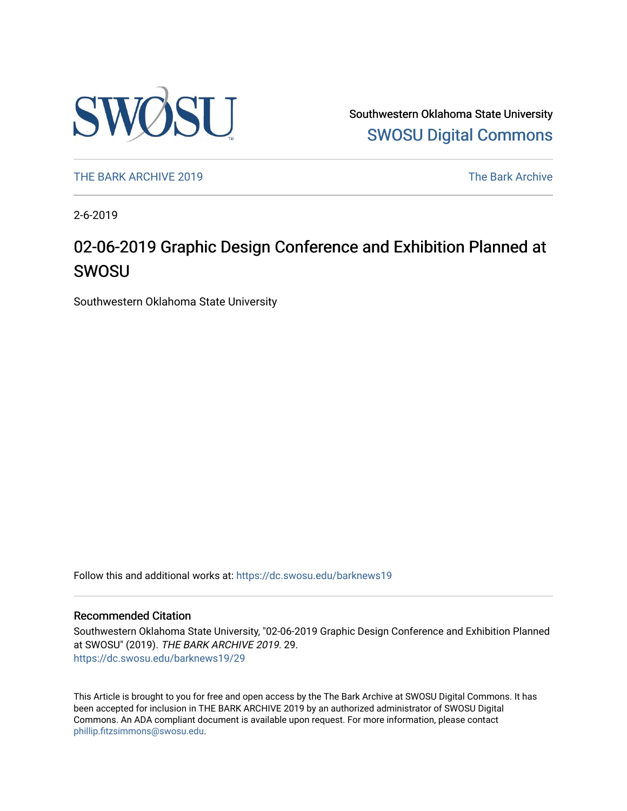

Southwestern Oklahoma State University [SWOSU Digital Commons](https://dc.swosu.edu/) 

[THE BARK ARCHIVE 2019](https://dc.swosu.edu/barknews19) The Bark Archive

2-6-2019

### 02-06-2019 Graphic Design Conference and Exhibition Planned at SWOSU

Southwestern Oklahoma State University

Follow this and additional works at: [https://dc.swosu.edu/barknews19](https://dc.swosu.edu/barknews19?utm_source=dc.swosu.edu%2Fbarknews19%2F29&utm_medium=PDF&utm_campaign=PDFCoverPages)

#### Recommended Citation

Southwestern Oklahoma State University, "02-06-2019 Graphic Design Conference and Exhibition Planned at SWOSU" (2019). THE BARK ARCHIVE 2019. 29. [https://dc.swosu.edu/barknews19/29](https://dc.swosu.edu/barknews19/29?utm_source=dc.swosu.edu%2Fbarknews19%2F29&utm_medium=PDF&utm_campaign=PDFCoverPages) 

This Article is brought to you for free and open access by the The Bark Archive at SWOSU Digital Commons. It has been accepted for inclusion in THE BARK ARCHIVE 2019 by an authorized administrator of SWOSU Digital Commons. An ADA compliant document is available upon request. For more information, please contact [phillip.fitzsimmons@swosu.edu](mailto:phillip.fitzsimmons@swosu.edu).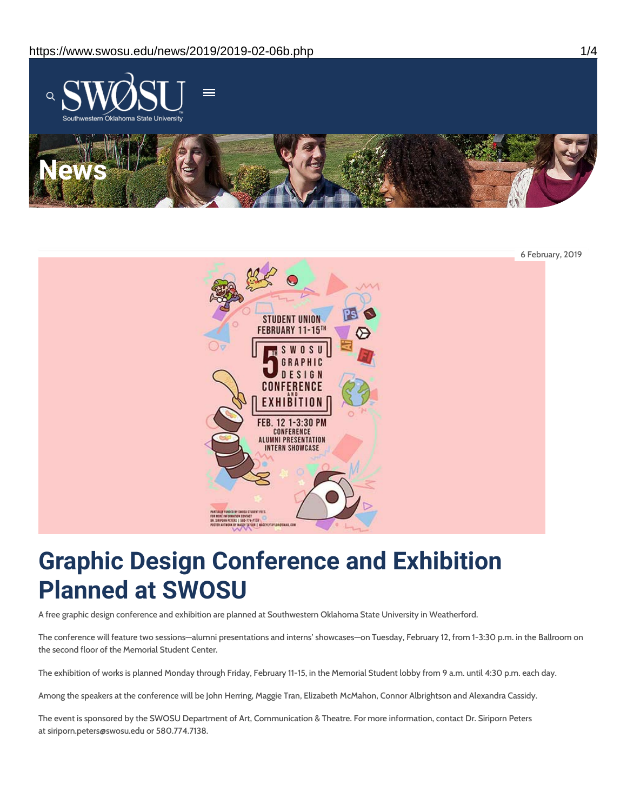



# **Graphic Design Conference and Exhibition Planned at SWOSU**

A free graphic design conference and exhibition are planned at Southwestern Oklahoma State University in Weatherford.

The conference will feature two sessions—alumni presentations and interns' showcases—on Tuesday, February 12, from 1-3:30 p.m. in the Ballroom on the second floor of the Memorial Student Center.

The exhibition of works is planned Monday through Friday, February 11-15, in the Memorial Student lobby from 9 a.m. until 4:30 p.m. each day.

Among the speakers at the conference will be John Herring, Maggie Tran, Elizabeth McMahon, Connor Albrightson and Alexandra Cassidy.

The event is sponsored by the SWOSU Department of Art, Communication & Theatre. For more information, contact Dr. Siriporn Peters at siriporn.peters@swosu.edu or 580.774.7138.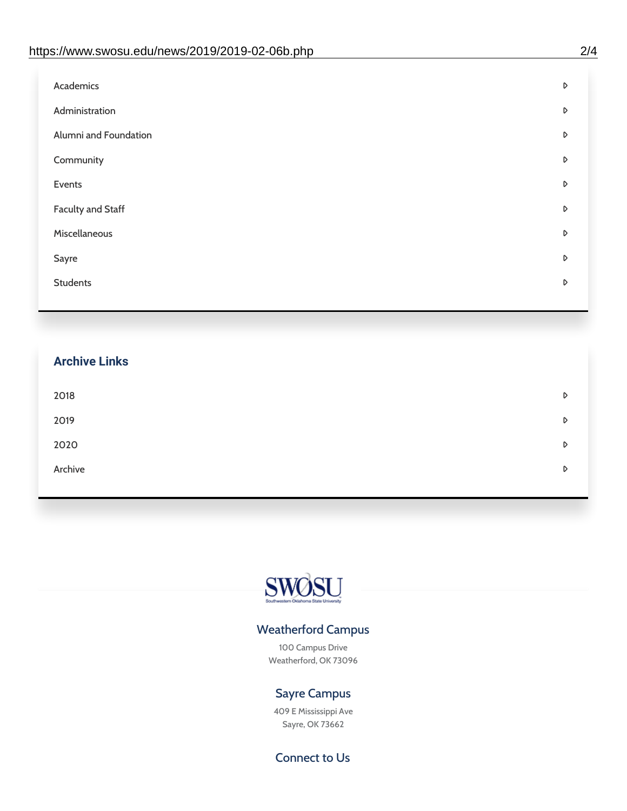| D |
|---|
| D |
| D |
| D |
| D |
| D |
| D |
| D |
| D |
|   |

## **Archive Links**  $2018$  $2019$ [2020](https://www.swosu.edu/news/2020/index.php)  $\bullet$ [Archive](https://dc.swosu.edu/bark/) **Archive Archive Archive Archive Archive** Archive Archive Archive Archive Archive Archive Archive Archive



### Weatherford Campus

100 Campus Drive Weatherford, OK 73096

### Sayre Campus

409 E Mississippi Ave Sayre, OK 73662

Connect to Us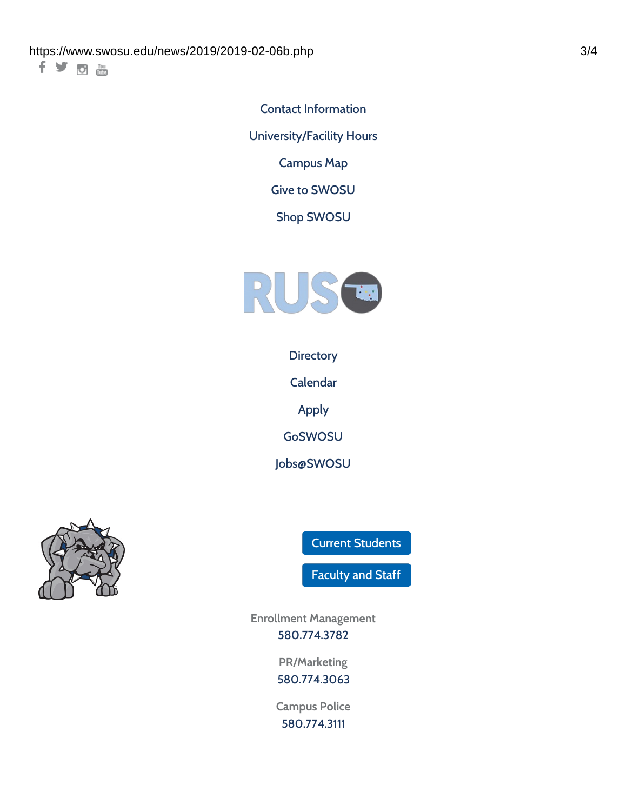千岁回调

Contact [Information](https://www.swosu.edu/about/contact.php) [University/Facility](https://www.swosu.edu/about/operating-hours.php) Hours [Campus](https://map.concept3d.com/?id=768#!ct/10964,10214,10213,10212,10205,10204,10203,10202,10136,10129,10128,0,31226,10130,10201,10641,0) Map

Give to [SWOSU](https://standingfirmly.com/donate)

Shop [SWOSU](https://shopswosu.merchorders.com/)



**[Directory](https://www.swosu.edu/directory/index.php)** 

[Calendar](https://eventpublisher.dudesolutions.com/swosu/)

[Apply](https://www.swosu.edu/admissions/apply-to-swosu.php)

[GoSWOSU](https://qlsso.quicklaunchsso.com/home/1267)

[Jobs@SWOSU](https://swosu.csod.com/ux/ats/careersite/1/home?c=swosu)



Current [Students](https://bulldog.swosu.edu/index.php)

[Faculty](https://bulldog.swosu.edu/faculty-staff/index.php) and Staff

**Enrollment Management** [580.774.3782](tel:5807743782)

> **PR/Marketing** [580.774.3063](tel:5807743063)

**Campus Police** [580.774.3111](tel:5807743111)